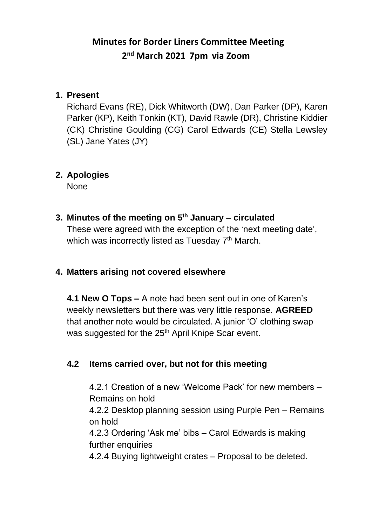# **Minutes for Border Liners Committee Meeting 2 nd March 2021 7pm via Zoom**

#### **1. Present**

Richard Evans (RE), Dick Whitworth (DW), Dan Parker (DP), Karen Parker (KP), Keith Tonkin (KT), David Rawle (DR), Christine Kiddier (CK) Christine Goulding (CG) Carol Edwards (CE) Stella Lewsley (SL) Jane Yates (JY)

#### **2. Apologies**

None

**3. Minutes of the meeting on 5 th January – circulated** These were agreed with the exception of the 'next meeting date', which was incorrectly listed as Tuesday  $7<sup>th</sup>$  March.

### **4. Matters arising not covered elsewhere**

**4.1 New O Tops –** A note had been sent out in one of Karen's weekly newsletters but there was very little response. **AGREED**  that another note would be circulated. A junior 'O' clothing swap was suggested for the 25<sup>th</sup> April Knipe Scar event.

### **4.2 Items carried over, but not for this meeting**

4.2.1 Creation of a new 'Welcome Pack' for new members – Remains on hold

4.2.2 Desktop planning session using Purple Pen – Remains on hold

4.2.3 Ordering 'Ask me' bibs – Carol Edwards is making further enquiries

4.2.4 Buying lightweight crates – Proposal to be deleted.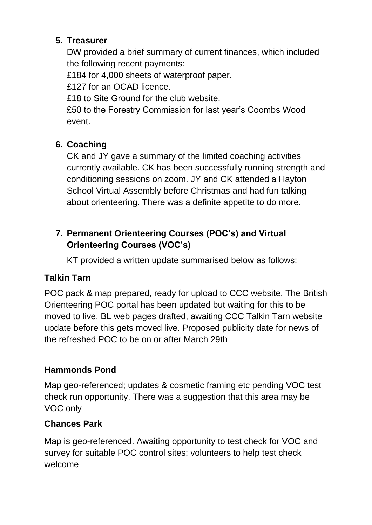### **5. Treasurer**

DW provided a brief summary of current finances, which included the following recent payments:

£184 for 4,000 sheets of waterproof paper.

£127 for an OCAD licence.

£18 to Site Ground for the club website.

£50 to the Forestry Commission for last year's Coombs Wood event.

# **6. Coaching**

CK and JY gave a summary of the limited coaching activities currently available. CK has been successfully running strength and conditioning sessions on zoom. JY and CK attended a Hayton School Virtual Assembly before Christmas and had fun talking about orienteering. There was a definite appetite to do more.

## **7. Permanent Orienteering Courses (POC's) and Virtual Orienteering Courses (VOC's)**

KT provided a written update summarised below as follows:

# **Talkin Tarn**

POC pack & map prepared, ready for upload to CCC website. The British Orienteering POC portal has been updated but waiting for this to be moved to live. BL web pages drafted, awaiting CCC Talkin Tarn website update before this gets moved live. Proposed publicity date for news of the refreshed POC to be on or after March 29th

# **Hammonds Pond**

Map geo-referenced; updates & cosmetic framing etc pending VOC test check run opportunity. There was a suggestion that this area may be VOC only

# **Chances Park**

Map is geo-referenced. Awaiting opportunity to test check for VOC and survey for suitable POC control sites; volunteers to help test check welcome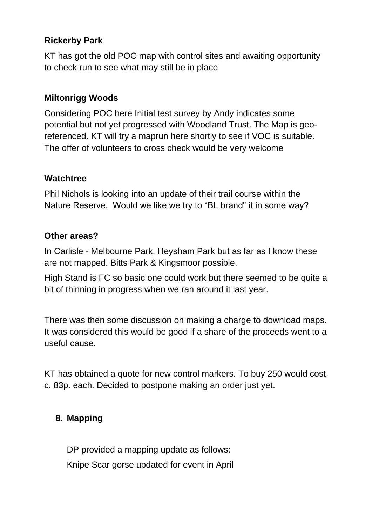## **Rickerby Park**

KT has got the old POC map with control sites and awaiting opportunity to check run to see what may still be in place

### **Miltonrigg Woods**

Considering POC here Initial test survey by Andy indicates some potential but not yet progressed with Woodland Trust. The Map is georeferenced. KT will try a maprun here shortly to see if VOC is suitable. The offer of volunteers to cross check would be very welcome

#### **Watchtree**

Phil Nichols is looking into an update of their trail course within the Nature Reserve. Would we like we try to "BL brand" it in some way?

#### **Other areas?**

In Carlisle - Melbourne Park, Heysham Park but as far as I know these are not mapped. Bitts Park & Kingsmoor possible.

High Stand is FC so basic one could work but there seemed to be quite a bit of thinning in progress when we ran around it last year.

There was then some discussion on making a charge to download maps. It was considered this would be good if a share of the proceeds went to a useful cause.

KT has obtained a quote for new control markers. To buy 250 would cost c. 83p. each. Decided to postpone making an order just yet.

### **8. Mapping**

DP provided a mapping update as follows: Knipe Scar gorse updated for event in April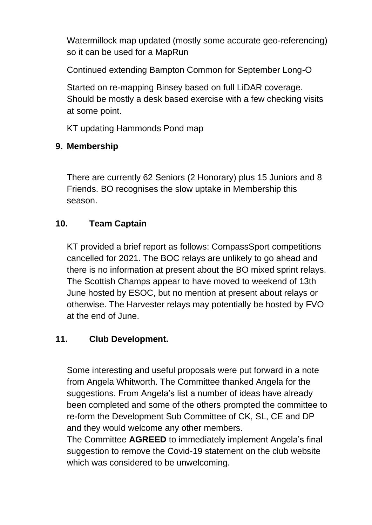Watermillock map updated (mostly some accurate geo-referencing) so it can be used for a MapRun

Continued extending Bampton Common for September Long-O

Started on re-mapping Binsey based on full LiDAR coverage. Should be mostly a desk based exercise with a few checking visits at some point.

KT updating Hammonds Pond map

## **9. Membership**

There are currently 62 Seniors (2 Honorary) plus 15 Juniors and 8 Friends. BO recognises the slow uptake in Membership this season.

## **10. Team Captain**

KT provided a brief report as follows: CompassSport competitions cancelled for 2021. The BOC relays are unlikely to go ahead and there is no information at present about the BO mixed sprint relays. The Scottish Champs appear to have moved to weekend of 13th June hosted by ESOC, but no mention at present about relays or otherwise. The Harvester relays may potentially be hosted by FVO at the end of June.

## **11. Club Development.**

Some interesting and useful proposals were put forward in a note from Angela Whitworth. The Committee thanked Angela for the suggestions. From Angela's list a number of ideas have already been completed and some of the others prompted the committee to re-form the Development Sub Committee of CK, SL, CE and DP and they would welcome any other members.

The Committee **AGREED** to immediately implement Angela's final suggestion to remove the Covid-19 statement on the club website which was considered to be unwelcoming.